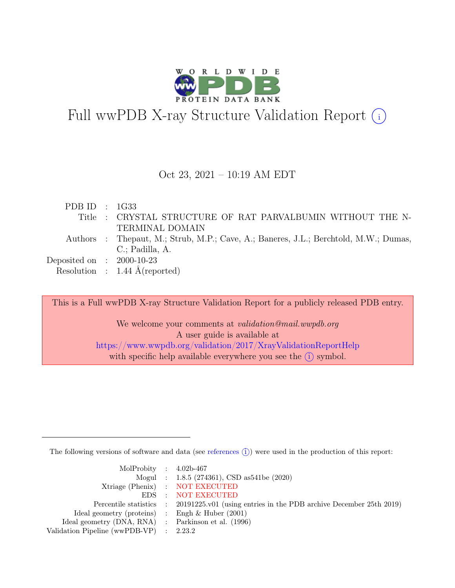

# Full wwPDB X-ray Structure Validation Report  $(i)$

### Oct 23, 2021 – 10:19 AM EDT

| PDB ID : $1G33$             |                                                                                      |
|-----------------------------|--------------------------------------------------------------------------------------|
|                             | Title: CRYSTAL STRUCTURE OF RAT PARVALBUMIN WITHOUT THE N-                           |
|                             | TERMINAL DOMAIN                                                                      |
|                             | Authors : Thepaut, M.; Strub, M.P.; Cave, A.; Baneres, J.L.; Berchtold, M.W.; Dumas, |
|                             | C.; Padilla, A.                                                                      |
| Deposited on : $2000-10-23$ |                                                                                      |
|                             | Resolution : $1.44 \text{ Å}$ (reported)                                             |

This is a Full wwPDB X-ray Structure Validation Report for a publicly released PDB entry. We welcome your comments at *validation@mail.wwpdb.org* A user guide is available at <https://www.wwpdb.org/validation/2017/XrayValidationReportHelp> with specific help available everywhere you see the  $(i)$  symbol.

The following versions of software and data (see [references](https://www.wwpdb.org/validation/2017/XrayValidationReportHelp#references)  $\hat{I}$ ) were used in the production of this report:

| MolProbity : $4.02b-467$                            |                                                                                            |
|-----------------------------------------------------|--------------------------------------------------------------------------------------------|
|                                                     | Mogul : $1.8.5$ (274361), CSD as 541be (2020)                                              |
|                                                     | Xtriage (Phenix) : NOT EXECUTED                                                            |
|                                                     | EDS : NOT EXECUTED                                                                         |
|                                                     | Percentile statistics : 20191225.v01 (using entries in the PDB archive December 25th 2019) |
| Ideal geometry (proteins) : Engh $\&$ Huber (2001)  |                                                                                            |
| Ideal geometry (DNA, RNA) : Parkinson et al. (1996) |                                                                                            |
| Validation Pipeline (wwPDB-VP) : $2.23.2$           |                                                                                            |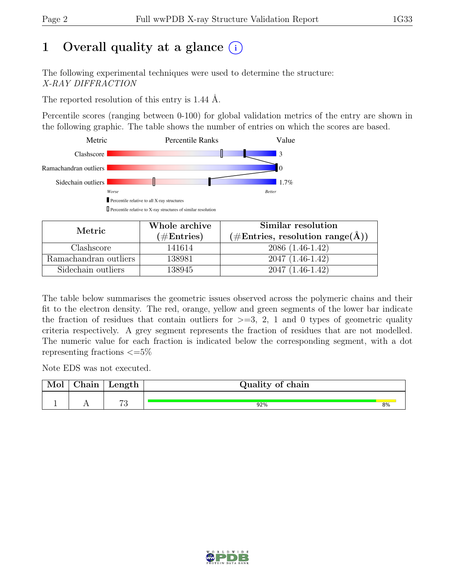# 1 Overall quality at a glance  $(i)$

The following experimental techniques were used to determine the structure: X-RAY DIFFRACTION

The reported resolution of this entry is 1.44 Å.

Percentile scores (ranging between 0-100) for global validation metrics of the entry are shown in the following graphic. The table shows the number of entries on which the scores are based.



| Metric                | Whole archive | Similar resolution                                 |  |  |
|-----------------------|---------------|----------------------------------------------------|--|--|
|                       | $(\#Entries)$ | $(\text{\#Entries, resolution range}(\text{\AA}))$ |  |  |
| Clashscore            | 141614        | $2086(1.46-1.42)$                                  |  |  |
| Ramachandran outliers | 138981        | $2047(1.46-1.42)$                                  |  |  |
| Sidechain outliers    | 138945        | $2047(1.46-1.42)$                                  |  |  |

The table below summarises the geometric issues observed across the polymeric chains and their fit to the electron density. The red, orange, yellow and green segments of the lower bar indicate the fraction of residues that contain outliers for  $\geq$ =3, 2, 1 and 0 types of geometric quality criteria respectively. A grey segment represents the fraction of residues that are not modelled. The numeric value for each fraction is indicated below the corresponding segment, with a dot representing fractions  $\epsilon = 5\%$ 

Note EDS was not executed.

| $\sim$ 1<br>hain | Length       | Quality of chain |    |
|------------------|--------------|------------------|----|
|                  |              |                  |    |
| . .              | $\mathbf{a}$ | 92%              | 8% |

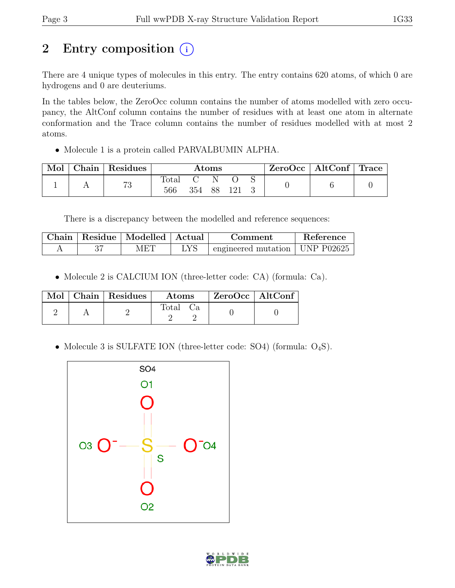# 2 Entry composition (i)

There are 4 unique types of molecules in this entry. The entry contains 620 atoms, of which 0 are hydrogens and 0 are deuteriums.

In the tables below, the ZeroOcc column contains the number of atoms modelled with zero occupancy, the AltConf column contains the number of residues with at least one atom in alternate conformation and the Trace column contains the number of residues modelled with at most 2 atoms.

• Molecule 1 is a protein called PARVALBUMIN ALPHA.

| Mol | Chain   Residues | Atoms                 |     |    |     | $ZeroOcc \mid AltConf \mid Trace$ |  |
|-----|------------------|-----------------------|-----|----|-----|-----------------------------------|--|
|     | 73               | $\text{Total}$<br>566 | 354 | 88 | 121 |                                   |  |

There is a discrepancy between the modelled and reference sequences:

| Chain | Residue   Modelled   Actual | Comment                                    | Reference |
|-------|-----------------------------|--------------------------------------------|-----------|
|       | MET                         | $\pm$ engineered mutation $\pm$ UNP P02625 |           |

• Molecule 2 is CALCIUM ION (three-letter code: CA) (formula: Ca).

|  | Mol   Chain   Residues | Atoms    | $\vert$ ZeroOcc $\vert$ AltConf |  |
|--|------------------------|----------|---------------------------------|--|
|  |                        | Total Ca |                                 |  |

• Molecule 3 is SULFATE ION (three-letter code: SO4) (formula: O<sub>4</sub>S).



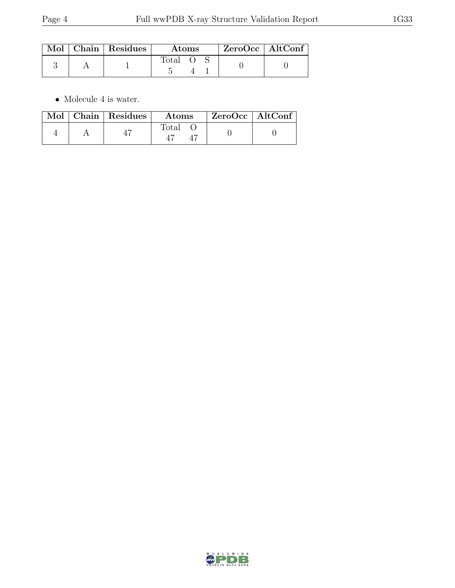|  | $\text{Mol}$   Chain   Residues $\textsuperscript{!}$ | <b>Atoms</b> |  | $ZeroOcc \   \$ AltConf |
|--|-------------------------------------------------------|--------------|--|-------------------------|
|  |                                                       | Total        |  |                         |

 $\bullet\,$  Molecule 4 is water.

|  | Mol   Chain   Residues | Atoms | $ZeroOcc \   \ AltConf \$ |  |
|--|------------------------|-------|---------------------------|--|
|  |                        | Total |                           |  |

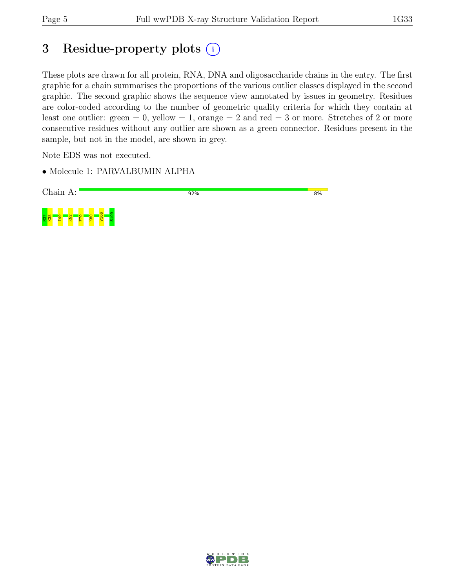# 3 Residue-property plots  $(i)$

These plots are drawn for all protein, RNA, DNA and oligosaccharide chains in the entry. The first graphic for a chain summarises the proportions of the various outlier classes displayed in the second graphic. The second graphic shows the sequence view annotated by issues in geometry. Residues are color-coded according to the number of geometric quality criteria for which they contain at least one outlier: green  $= 0$ , yellow  $= 1$ , orange  $= 2$  and red  $= 3$  or more. Stretches of 2 or more consecutive residues without any outlier are shown as a green connector. Residues present in the sample, but not in the model, are shown in grey.

Note EDS was not executed.

• Molecule 1: PARVALBUMIN ALPHA



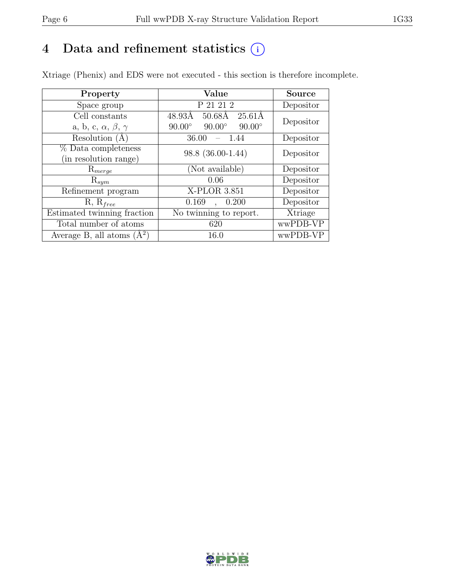# 4 Data and refinement statistics  $(i)$

Xtriage (Phenix) and EDS were not executed - this section is therefore incomplete.

| Property                               | Value                                            | <b>Source</b> |  |
|----------------------------------------|--------------------------------------------------|---------------|--|
| Space group                            | P 21 21 2                                        | Depositor     |  |
| Cell constants                         | $25.61\text{\AA}$<br>$50.68\text{\AA}$<br>48.93Å | Depositor     |  |
| a, b, c, $\alpha$ , $\beta$ , $\gamma$ | $90.00^\circ$<br>$90.00^\circ$<br>$90.00^\circ$  |               |  |
| Resolution (A)                         | 36.00<br>- 1.44                                  | Depositor     |  |
| % Data completeness                    | 98.8 (36.00-1.44)                                | Depositor     |  |
| (in resolution range)                  |                                                  |               |  |
| $\mathrm{R}_{merge}$                   | (Not available)                                  | Depositor     |  |
| $\mathrm{R}_{sym}$                     | 0.06                                             | Depositor     |  |
| Refinement program                     | X-PLOR 3.851                                     | Depositor     |  |
| $R, R_{free}$                          | 0.200<br>0.169<br>$\ddot{\phantom{a}}$           | Depositor     |  |
| Estimated twinning fraction            | No twinning to report.                           | Xtriage       |  |
| Total number of atoms                  | 620                                              | wwPDB-VP      |  |
| Average B, all atoms $(A^2)$           | 16.0                                             | wwPDB-VP      |  |

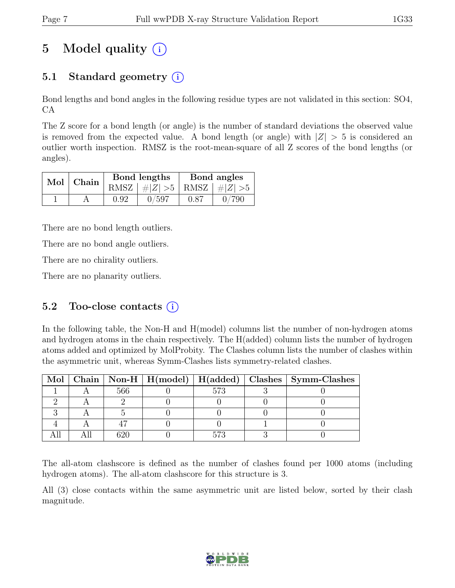# 5 Model quality  $(i)$

# 5.1 Standard geometry  $(i)$

Bond lengths and bond angles in the following residue types are not validated in this section: SO4, CA

The Z score for a bond length (or angle) is the number of standard deviations the observed value is removed from the expected value. A bond length (or angle) with  $|Z| > 5$  is considered an outlier worth inspection. RMSZ is the root-mean-square of all Z scores of the bond lengths (or angles).

| $Mol$ Chain |      | Bond lengths                    | Bond angles |       |  |
|-------------|------|---------------------------------|-------------|-------|--|
|             |      | RMSZ $ #Z  > 5$ RMSZ $ #Z  > 5$ |             |       |  |
|             | 0.92 | 0/597                           | 0.87        | 0/790 |  |

There are no bond length outliers.

There are no bond angle outliers.

There are no chirality outliers.

There are no planarity outliers.

### 5.2 Too-close contacts  $(i)$

In the following table, the Non-H and H(model) columns list the number of non-hydrogen atoms and hydrogen atoms in the chain respectively. The H(added) column lists the number of hydrogen atoms added and optimized by MolProbity. The Clashes column lists the number of clashes within the asymmetric unit, whereas Symm-Clashes lists symmetry-related clashes.

|  |     |     | Mol   Chain   Non-H   H(model)   H(added)   Clashes   Symm-Clashes |
|--|-----|-----|--------------------------------------------------------------------|
|  | 566 | 573 |                                                                    |
|  |     |     |                                                                    |
|  |     |     |                                                                    |
|  |     |     |                                                                    |
|  |     |     |                                                                    |

The all-atom clashscore is defined as the number of clashes found per 1000 atoms (including hydrogen atoms). The all-atom clashscore for this structure is 3.

All (3) close contacts within the same asymmetric unit are listed below, sorted by their clash magnitude.

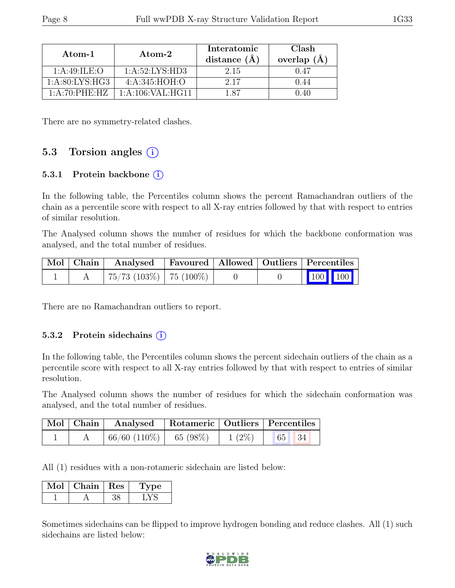| Atom-1                                  | Atom-2               | Interatomic<br>distance $(\AA)$ | Clash<br>overlap $(A)$ |  |
|-----------------------------------------|----------------------|---------------------------------|------------------------|--|
| 1: A:49: ILE:O                          | 1: A:52: LYS:HD3     | 2.15                            | 0.47                   |  |
| 1: A:80: LYS: HG3                       | 4: A:345: HOH:O      | 2.17                            | 1.44                   |  |
| $1 \cdot A \cdot 70 \cdot PHE \cdot HZ$ | 1: A: 106: VAL: HG11 | - 87                            |                        |  |

There are no symmetry-related clashes.

# 5.3 Torsion angles  $(i)$

#### 5.3.1 Protein backbone  $(i)$

In the following table, the Percentiles column shows the percent Ramachandran outliers of the chain as a percentile score with respect to all X-ray entries followed by that with respect to entries of similar resolution.

The Analysed column shows the number of residues for which the backbone conformation was analysed, and the total number of residues.

|  | Mol   Chain   Analysed   Favoured   Allowed   Outliers   Percentiles |  |                                                              |
|--|----------------------------------------------------------------------|--|--------------------------------------------------------------|
|  | $+75/73$ (103%)   75 (100%)                                          |  | $\begin{array}{ c c c c c }\n\hline\n100 & 100\n\end{array}$ |

There are no Ramachandran outliers to report.

#### 5.3.2 Protein sidechains  $(i)$

In the following table, the Percentiles column shows the percent sidechain outliers of the chain as a percentile score with respect to all X-ray entries followed by that with respect to entries of similar resolution.

The Analysed column shows the number of residues for which the sidechain conformation was analysed, and the total number of residues.

|  | Mol   Chain   Analysed   Rotameric   Outliers   Percentiles |  |       |  |  |
|--|-------------------------------------------------------------|--|-------|--|--|
|  | $\mid 66/60 \ (110\%) \mid 65 \ (98\%) \mid 1 \ (2\%) \mid$ |  | 65 34 |  |  |

All (1) residues with a non-rotameric sidechain are listed below:

| $Chain +$ | Res | ne- |  |
|-----------|-----|-----|--|
|           |     |     |  |

Sometimes sidechains can be flipped to improve hydrogen bonding and reduce clashes. All (1) such sidechains are listed below:

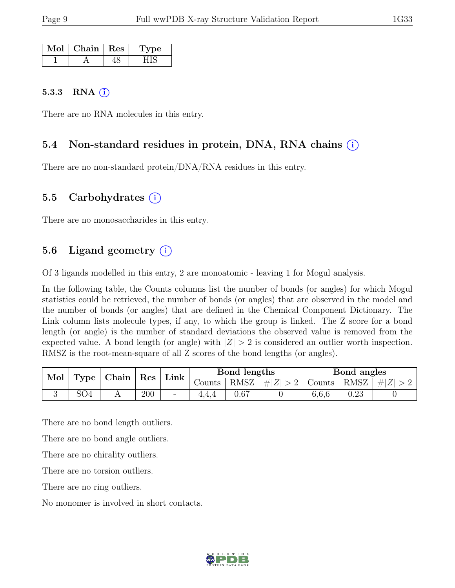| Mol | $\mid$ Chain $\mid$ Res | рe. |  |
|-----|-------------------------|-----|--|
|     |                         |     |  |

#### 5.3.3 RNA  $(i)$

There are no RNA molecules in this entry.

### 5.4 Non-standard residues in protein, DNA, RNA chains (i)

There are no non-standard protein/DNA/RNA residues in this entry.

### 5.5 Carbohydrates (i)

There are no monosaccharides in this entry.

## 5.6 Ligand geometry  $(i)$

Of 3 ligands modelled in this entry, 2 are monoatomic - leaving 1 for Mogul analysis.

In the following table, the Counts columns list the number of bonds (or angles) for which Mogul statistics could be retrieved, the number of bonds (or angles) that are observed in the model and the number of bonds (or angles) that are defined in the Chemical Component Dictionary. The Link column lists molecule types, if any, to which the group is linked. The Z score for a bond length (or angle) is the number of standard deviations the observed value is removed from the expected value. A bond length (or angle) with  $|Z| > 2$  is considered an outlier worth inspection. RMSZ is the root-mean-square of all Z scores of the bond lengths (or angles).

| Mol<br>Type | Chain | $\mathbf{Res}$ |     | Bond lengths             |        | Bond angles |         |        |             |  |
|-------------|-------|----------------|-----|--------------------------|--------|-------------|---------|--------|-------------|--|
|             |       |                |     | Link                     | Counts | RMSZ        | #Z  > 2 | Counts | RMSZ $ #Z $ |  |
|             | SO4   |                | 200 | $\overline{\phantom{a}}$ |        | 0.67        |         | 6.6.6  | $\rm 0.23$  |  |

There are no bond length outliers.

There are no bond angle outliers.

There are no chirality outliers.

There are no torsion outliers.

There are no ring outliers.

No monomer is involved in short contacts.

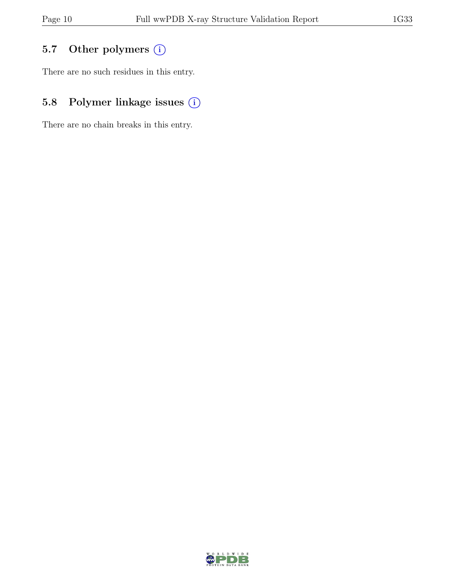# 5.7 Other polymers (i)

There are no such residues in this entry.

# 5.8 Polymer linkage issues (i)

There are no chain breaks in this entry.